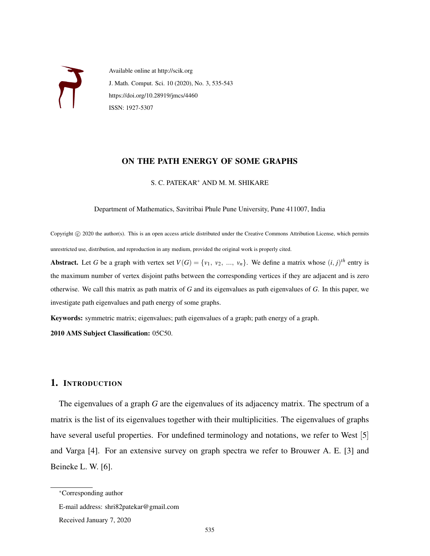

Available online at http://scik.org J. Math. Comput. Sci. 10 (2020), No. 3, 535-543 https://doi.org/10.28919/jmcs/4460 ISSN: 1927-5307

### ON THE PATH ENERGY OF SOME GRAPHS

S. C. PATEKAR<sup>∗</sup> AND M. M. SHIKARE

Department of Mathematics, Savitribai Phule Pune University, Pune 411007, India

Copyright © 2020 the author(s). This is an open access article distributed under the Creative Commons Attribution License, which permits unrestricted use, distribution, and reproduction in any medium, provided the original work is properly cited.

Abstract. Let *G* be a graph with vertex set  $V(G) = \{v_1, v_2, ..., v_n\}$ . We define a matrix whose  $(i, j)^{th}$  entry is the maximum number of vertex disjoint paths between the corresponding vertices if they are adjacent and is zero otherwise. We call this matrix as path matrix of *G* and its eigenvalues as path eigenvalues of *G*. In this paper, we investigate path eigenvalues and path energy of some graphs.

Keywords: symmetric matrix; eigenvalues; path eigenvalues of a graph; path energy of a graph.

2010 AMS Subject Classification: 05C50.

# 1. INTRODUCTION

The eigenvalues of a graph *G* are the eigenvalues of its adjacency matrix. The spectrum of a matrix is the list of its eigenvalues together with their multiplicities. The eigenvalues of graphs have several useful properties. For undefined terminology and notations, we refer to West [5] and Varga [4]. For an extensive survey on graph spectra we refer to Brouwer A. E. [3] and Beineke L. W. [6].

<sup>∗</sup>Corresponding author

E-mail address: shri82patekar@gmail.com

Received January 7, 2020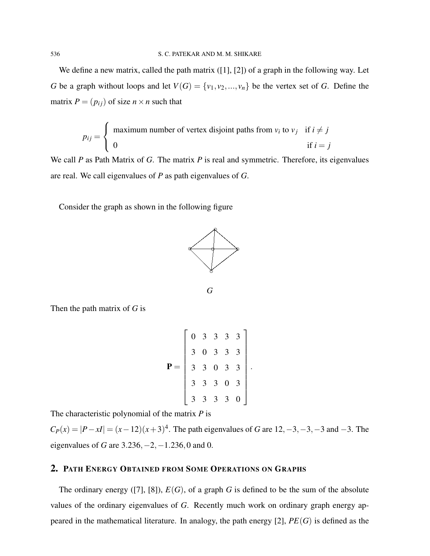We define a new matrix, called the path matrix ([1], [2]) of a graph in the following way. Let *G* be a graph without loops and let  $V(G) = \{v_1, v_2, ..., v_n\}$  be the vertex set of *G*. Define the matrix  $P = (p_{ij})$  of size  $n \times n$  such that

$$
p_{ij} = \begin{cases} \text{ maximum number of vertex disjoint paths from } v_i \text{ to } v_j & \text{if } i \neq j \\ 0 & \text{if } i = j \end{cases}
$$

We call *P* as Path Matrix of *G*. The matrix *P* is real and symmetric. Therefore, its eigenvalues are real. We call eigenvalues of *P* as path eigenvalues of *G*.

Consider the graph as shown in the following figure





Then the path matrix of *G* is

$$
\mathbf{P} = \left[ \begin{array}{cccc} 0 & 3 & 3 & 3 & 3 \\ 3 & 0 & 3 & 3 & 3 \\ 3 & 3 & 0 & 3 & 3 \\ 3 & 3 & 3 & 0 & 3 \\ 3 & 3 & 3 & 3 & 0 \end{array} \right]
$$

.

The characteristic polynomial of the matrix *P* is

 $C_P(x) = |P - xI| = (x - 12)(x + 3)^4$ . The path eigenvalues of *G* are 12, −3, −3, −3 and −3. The eigenvalues of *G* are 3.236,−2,−1.236,0 and 0.

# 2. PATH ENERGY OBTAINED FROM SOME OPERATIONS ON GRAPHS

The ordinary energy ([7], [8]),  $E(G)$ , of a graph *G* is defined to be the sum of the absolute values of the ordinary eigenvalues of *G*. Recently much work on ordinary graph energy appeared in the mathematical literature. In analogy, the path energy [2], *PE*(*G*) is defined as the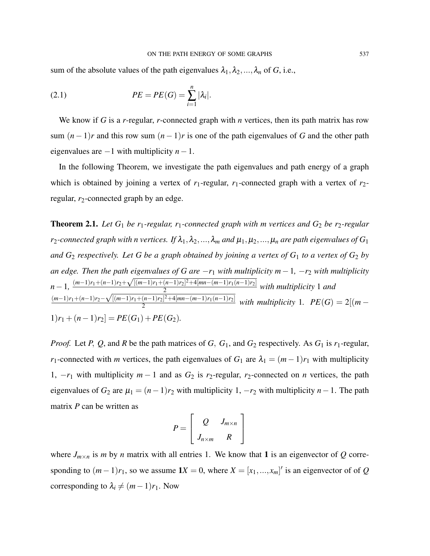sum of the absolute values of the path eigenvalues  $\lambda_1, \lambda_2, ..., \lambda_n$  of *G*, i.e.,

(2.1) 
$$
PE = PE(G) = \sum_{i=1}^{n} |\lambda_i|.
$$

We know if *G* is a *r*-regular, *r*-connected graph with *n* vertices, then its path matrix has row sum  $(n-1)r$  and this row sum  $(n-1)r$  is one of the path eigenvalues of *G* and the other path eigenvalues are −1 with multiplicity *n*−1.

In the following Theorem, we investigate the path eigenvalues and path energy of a graph which is obtained by joining a vertex of  $r_1$ -regular,  $r_1$ -connected graph with a vertex of  $r_2$ regular,  $r_2$ -connected graph by an edge.

**Theorem 2.1.** Let  $G_1$  be  $r_1$ -regular,  $r_1$ -connected graph with m vertices and  $G_2$  be  $r_2$ -regular *r*<sub>2</sub>*-connected graph with n vertices. If*  $\lambda_1, \lambda_2, ..., \lambda_m$  *and*  $\mu_1, \mu_2, ..., \mu_n$  *are path eigenvalues of*  $G_1$ *and*  $G_2$  *respectively. Let* G be a graph obtained by joining a vertex of  $G_1$  to a vertex of  $G_2$  by *an edge. Then the path eigenvalues of G are* −*r*<sup>1</sup> *with multiplicity m*−1*,* −*r*<sup>2</sup> *with multiplicity*  $n-1$ ,  $\frac{(m-1)r_1+(n-1)r_2+}{(m-1)r_1+(n-1)r_2+}$ √  $[(m-1)r_1 + (n-1)r_2]^2 + 4[mn-(m-1)r_1(n-1)r_2]$  $\frac{(n-1)!}{2!}$   $\frac{1}{2}$   $\frac{(n-1)!}{2!}$  with multiplicity 1 and (*m*−1)*r*1+(*n*−1)*r*2− √ [(*m*−1)*r*1+(*n*−1)*r*2] <sup>2</sup>+4[*mn*−(*m*−1)*r*1(*n*−1)*r*2]  $\frac{(n-1)!}{2^{2}}$  +  $\frac{(mn-(m-1)!}{(n-1)!}$  with multiplicity 1*.*  $PE(G) = 2[(m-1)]$  $1)r_1 + (n-1)r_2$  =  $PE(G_1) + PE(G_2)$ .

*Proof.* Let *P*, *Q*, and *R* be the path matrices of *G*,  $G_1$ , and  $G_2$  respectively. As  $G_1$  is  $r_1$ -regular, *r*<sub>1</sub>-connected with *m* vertices, the path eigenvalues of *G*<sub>1</sub> are  $\lambda_1 = (m-1)r_1$  with multiplicity 1,  $-r_1$  with multiplicity  $m-1$  and as  $G_2$  is  $r_2$ -regular,  $r_2$ -connected on *n* vertices, the path eigenvalues of  $G_2$  are  $\mu_1 = (n-1)r_2$  with multiplicity 1,  $-r_2$  with multiplicity  $n-1$ . The path matrix *P* can be written as

$$
P = \left[ \begin{array}{cc} Q & J_{m \times n} \\ J_{n \times m} & R \end{array} \right]
$$

where  $J_{m \times n}$  is *m* by *n* matrix with all entries 1. We know that 1 is an eigenvector of Q corresponding to  $(m-1)r_1$ , so we assume  $1X = 0$ , where  $X = [x_1, ..., x_m]'$  is an eigenvector of of *Q* corresponding to  $\lambda_i \neq (m-1)r_1$ . Now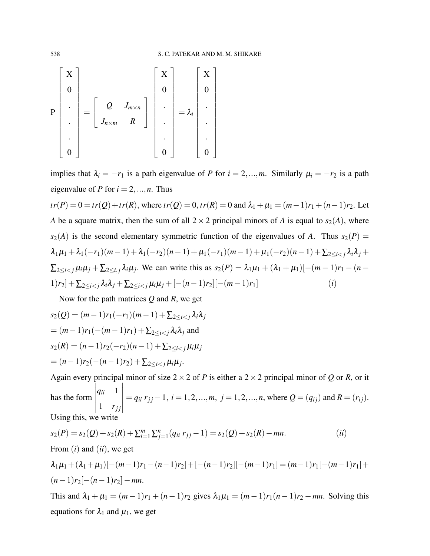$$
\mathbf{P}\begin{bmatrix}\mathbf{X} \\ \mathbf{0} \\ \vdots \\ \mathbf{0}\end{bmatrix} = \begin{bmatrix} Q & J_{m \times n} \\ J_{n \times m} & R \end{bmatrix} \begin{bmatrix} \mathbf{X} \\ \mathbf{0} \\ \vdots \\ \mathbf{0}\end{bmatrix} = \lambda_i \begin{bmatrix} \mathbf{X} \\ \mathbf{0} \\ \vdots \\ \mathbf{0}\end{bmatrix}
$$

implies that  $\lambda_i = -r_1$  is a path eigenvalue of *P* for  $i = 2, ..., m$ . Similarly  $\mu_i = -r_2$  is a path eigenvalue of *P* for  $i = 2, ..., n$ . Thus  $tr(P) = 0 = tr(Q) + tr(R)$ , where  $tr(Q) = 0$ ,  $tr(R) = 0$  and  $\lambda_1 + \mu_1 = (m-1)r_1 + (n-1)r_2$ . Let *A* be a square matrix, then the sum of all  $2 \times 2$  principal minors of *A* is equal to  $s_2(A)$ , where  $s_2(A)$  is the second elementary symmetric function of the eigenvalues of *A*. Thus  $s_2(P)$  =  $\lambda_1\mu_1 + \lambda_1(-r_1)(m-1) + \lambda_1(-r_2)(n-1) + \mu_1(-r_1)(m-1) + \mu_1(-r_2)(n-1) + \sum_{2 \leq i < j} \lambda_i\lambda_j +$  $\sum_{2 \le i < j} \mu_i \mu_j + \sum_{2 \le i, j} \lambda_i \mu_j$ . We can write this as  $s_2(P) = \lambda_1 \mu_1 + (\lambda_1 + \mu_1)[-(m-1)r_1 - (n-1)r_2]$  $1)r_2] + \sum_{2 \le i \le j} \lambda_i \lambda_j + \sum_{2 \le i \le j} \mu_i \mu_j + [-(n-1)r_2] [-(m-1)r_1]$  (*i*)

Now for the path matrices *Q* and *R*, we get

$$
s_2(Q) = (m-1)r_1(-r_1)(m-1) + \sum_{2 \le i < j} \lambda_i \lambda_j
$$
\n
$$
= (m-1)r_1(-(m-1)r_1) + \sum_{2 \le i < j} \lambda_i \lambda_j \text{ and }
$$
\n
$$
s_2(R) = (n-1)r_2(-r_2)(n-1) + \sum_{2 \le i < j} \mu_i \mu_j
$$
\n
$$
= (n-1)r_2(-(n-1)r_2) + \sum_{2 \le i < j} \mu_i \mu_j.
$$

Again every principal minor of size  $2 \times 2$  of *P* is either a  $2 \times 2$  principal minor of *Q* or *R*, or it has the form *qii* 1  $1 \quad r_{jj}$   $= q_{ii} r_{jj} - 1, i = 1, 2, ..., m, j = 1, 2, ..., n$ , where  $Q = (q_{ij})$  and  $R = (r_{ij})$ . Using this, we write

$$
s_2(P) = s_2(Q) + s_2(R) + \sum_{i=1}^{m} \sum_{j=1}^{n} (q_{ii} r_{jj} - 1) = s_2(Q) + s_2(R) - mn.
$$
 (ii)  
From (i) and (ii), we get  

$$
\lambda_1 \mu_1 + (\lambda_1 + \mu_1)[-(m-1)r_1 - (n-1)r_2] + [-(n-1)r_2][(m-1)r_1] = (m-1)r_1[-(m-1)r_1] +
$$

$$
(n-1)r_2[-(n-1)r_2] - mn.
$$
 This and  $\lambda_1 + \mu_1 = (m-1)r_1 + (n-1)r_2$  gives  $\lambda_1 \mu_1 = (m-1)r_1(n-1)r_2 - mn$ . Solving this equations for  $\lambda_1$  and  $\mu_1$ , we get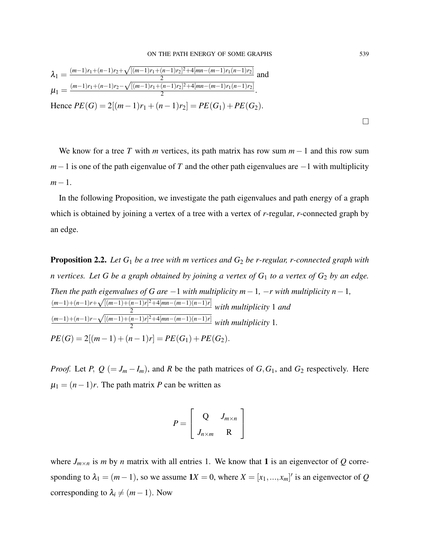$$
\lambda_1 = \frac{(m-1)r_1 + (n-1)r_2 + \sqrt{[(m-1)r_1 + (n-1)r_2]^2 + 4[mn - (m-1)r_1(n-1)r_2]}}{2}
$$
 and  
\n
$$
\mu_1 = \frac{(m-1)r_1 + (n-1)r_2 - \sqrt{[(m-1)r_1 + (n-1)r_2]^2 + 4[mn - (m-1)r_1(n-1)r_2]}}{2}.
$$
  
\nHence  $PE(G) = 2[(m-1)r_1 + (n-1)r_2] = PE(G_1) + PE(G_2).$ 

We know for a tree *T* with *m* vertices, its path matrix has row sum *m*−1 and this row sum *m*−1 is one of the path eigenvalue of *T* and the other path eigenvalues are −1 with multiplicity *m*−1.

In the following Proposition, we investigate the path eigenvalues and path energy of a graph which is obtained by joining a vertex of a tree with a vertex of *r*-regular, *r*-connected graph by an edge.

Proposition 2.2. *Let G*<sup>1</sup> *be a tree with m vertices and G*<sup>2</sup> *be r-regular, r-connected graph with n* vertices. Let G be a graph obtained by joining a vertex of  $G_1$  to a vertex of  $G_2$  by an edge. *Then the path eigenvalues of G are*  $-1$  *with multiplicity m* $-1$ *,*  $-r$  *with multiplicity n* $-1$ *,* (*m*−1)+(*n*−1)*r*+  $rac{c}{\sqrt{2}}$  $[(m-1)+(n-1)r]^2+4[mn-(m-1)(n-1)r]$  $\frac{n(n-1)!}{2}$  with multiplicity 1 and (*m*−1)+(*n*−1)*r*− √  $[(m-1)+(n-1)r]^2+4[mn-(m-1)(n-1)r]$  $\frac{n(n+1)!}{2}$   $\frac{m(n+1)(n-1)!}{2}$  with multiplicity 1.  $PE(G) = 2[(m-1) + (n-1)r] = PE(G_1) + PE(G_2).$ 

*Proof.* Let *P*,  $Q$  (= *J<sub>m</sub>* − *I<sub>m</sub>*), and *R* be the path matrices of *G*, *G*<sub>1</sub>, and *G*<sub>2</sub> respectively. Here  $\mu_1 = (n-1)r$ . The path matrix *P* can be written as

$$
P = \left[ \begin{array}{cc} Q & J_{m \times n} \\ J_{n \times m} & R \end{array} \right]
$$

where  $J_{m \times n}$  is *m* by *n* matrix with all entries 1. We know that 1 is an eigenvector of *Q* corresponding to  $\lambda_1 = (m-1)$ , so we assume  $1X = 0$ , where  $X = [x_1, ..., x_m]'$  is an eigenvector of *Q* corresponding to  $\lambda_i \neq (m-1)$ . Now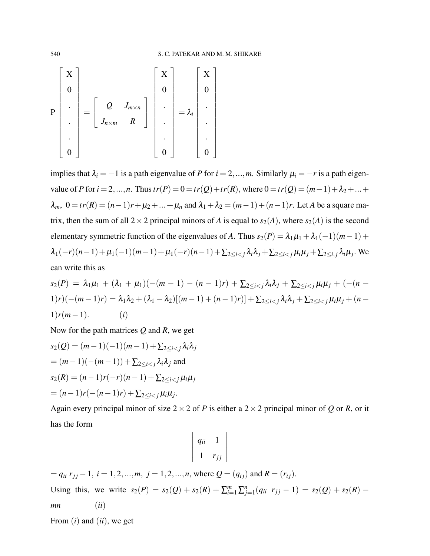$$
\mathbf{P}\begin{bmatrix}\mathbf{X} \\ \mathbf{0} \\ \vdots \\ \mathbf{0}\end{bmatrix} = \begin{bmatrix} Q & J_{m \times n} \\ J_{n \times m} & R \end{bmatrix} \begin{bmatrix} \mathbf{X} \\ \mathbf{0} \\ \vdots \\ \mathbf{0}\end{bmatrix} = \lambda_i \begin{bmatrix} \mathbf{X} \\ \mathbf{0} \\ \vdots \\ \mathbf{0}\end{bmatrix}
$$

implies that  $\lambda_i = -1$  is a path eigenvalue of *P* for  $i = 2, ..., m$ . Similarly  $\mu_i = -r$  is a path eigenvalue of *P* for  $i = 2, ..., n$ . Thus  $tr(P) = 0 = tr(Q) + tr(R)$ , where  $0 = tr(Q) = (m-1) + \lambda_2 + ... + \lambda_n$  $λ<sub>m</sub>$ , 0 = *tr*(*R*) = (*n*−1)*r* +  $μ<sub>2</sub> + ... + μ<sub>n</sub>$  and  $λ<sub>1</sub> + λ<sub>2</sub> = (m−1) + (n−1)r$ . Let *A* be a square matrix, then the sum of all  $2 \times 2$  principal minors of *A* is equal to  $s_2(A)$ , where  $s_2(A)$  is the second elementary symmetric function of the eigenvalues of *A*. Thus  $s_2(P) = \lambda_1 \mu_1 + \lambda_1(-1)(m-1) +$ λ1(−*r*)(*n*−1)+µ1(−1)(*m*−1)+µ1(−*r*)(*n*−1)+∑2≤*i*<*<sup>j</sup>* λ*i*λ*<sup>j</sup>* +∑2≤*i*<*<sup>j</sup>* µ*i*µ*<sup>j</sup>* +∑2≤*i*, *<sup>j</sup>* λ*i*µ*<sup>j</sup>* . We can write this as

$$
s_2(P) = \lambda_1 \mu_1 + (\lambda_1 + \mu_1)(-(m-1) - (n-1)r) + \sum_{2 \le i < j} \lambda_i \lambda_j + \sum_{2 \le i < j} \mu_i \mu_j + (-(n-1)r)(-(m-1)r) = \lambda_1 \lambda_2 + (\lambda_1 - \lambda_2)[(m-1) + (n-1)r)] + \sum_{2 \le i < j} \lambda_i \lambda_j + \sum_{2 \le i < j} \mu_i \mu_j + (n-1)r(m-1). \tag{i}
$$

Now for the path matrices *Q* and *R*, we get

$$
s_2(Q) = (m-1)(-1)(m-1) + \sum_{2 \le i < j} \lambda_i \lambda_j
$$
\n
$$
= (m-1)(-(m-1)) + \sum_{2 \le i < j} \lambda_i \lambda_j \text{ and }
$$
\n
$$
s_2(R) = (n-1)r(-r)(n-1) + \sum_{2 \le i < j} \mu_i \mu_j
$$
\n
$$
= (n-1)r(-(n-1)r) + \sum_{2 \le i < j} \mu_i \mu_j.
$$

Again every principal minor of size  $2 \times 2$  of *P* is either a  $2 \times 2$  principal minor of *Q* or *R*, or it has the form

$$
\left|\begin{array}{cc} q_{ii} & 1 \\ 1 & r_{jj} \end{array}\right|
$$

 $= q_{ii} r_{jj} - 1$ ,  $i = 1, 2, ..., m$ ,  $j = 1, 2, ..., n$ , where  $Q = (q_{ij})$  and  $R = (r_{ij})$ . Using this, we write  $s_2(P) = s_2(Q) + s_2(R) + \sum_{i=1}^m \sum_{j=1}^n (q_{ii} \ r_{jj} - 1) = s_2(Q) + s_2(R)$ *mn* (*ii*)

From (*i*) and (*ii*), we get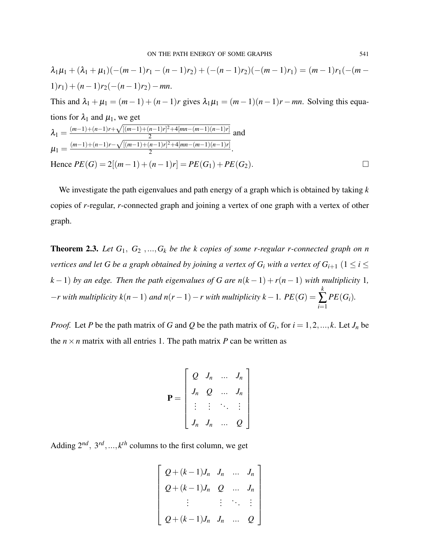$$
\lambda_1 \mu_1 + (\lambda_1 + \mu_1)(-(m-1)r_1 - (n-1)r_2) + (-(n-1)r_2)(-(m-1)r_1) = (m-1)r_1(-(m-1)r_1) + (n-1)r_2(-(n-1)r_2) - mn.
$$
  
This and  $\lambda_1 + \mu_1 = (m-1) + (n-1)r$  gives  $\lambda_1 \mu_1 = (m-1)(n-1)r - mn$ . Solving this equations for  $\lambda_1$  and  $\mu_1$ , we get  

$$
\lambda_1 = \frac{(m-1) + (n-1)r + \sqrt{[(m-1) + (n-1)r]^2 + 4[mn - (m-1)(n-1)r]}}{2}
$$
and  

$$
\mu_1 = \frac{(m-1) + (n-1)r - \sqrt{[(m-1) + (n-1)r]^2 + 4[mn - (m-1)(n-1)r]}}{2}.
$$
  
Hence  $PE(G) = 2[(m-1) + (n-1)r] = PE(G_1) + PE(G_2).$ 

We investigate the path eigenvalues and path energy of a graph which is obtained by taking *k* copies of *r*-regular, *r*-connected graph and joining a vertex of one graph with a vertex of other graph.

**Theorem 2.3.** Let  $G_1, G_2, ..., G_k$  be the k copies of some r-regular r-connected graph on n *vertices and let G be a graph obtained by joining a vertex of*  $G_i$  *with a vertex of*  $G_{i+1}$  $(1 \leq i \leq j)$ *k* − 1) *by an edge. Then the path eigenvalues of G are*  $n(k-1) + r(n-1)$  *with multiplicity* 1*,*  $-r$  with multiplicity  $k(n-1)$  *and*  $n(r-1) - r$  with multiplicity  $k-1$ .  $PE(G) =$ *k* ∑ *i*=1 *PE*(*Gi*)*.*

*Proof.* Let *P* be the path matrix of *G* and *Q* be the path matrix of  $G_i$ , for  $i = 1, 2, ..., k$ . Let  $J_n$  be the  $n \times n$  matrix with all entries 1. The path matrix *P* can be written as

$$
\mathbf{P} = \begin{bmatrix} Q & J_n & \dots & J_n \\ J_n & Q & \dots & J_n \\ \vdots & \vdots & \ddots & \vdots \\ J_n & J_n & \dots & Q \end{bmatrix}
$$

Adding  $2^{nd}$ ,  $3^{rd}$ , ...,  $k^{th}$  columns to the first column, we get

$$
\begin{bmatrix} Q + (k-1)J_n & J_n & \dots & J_n \\ Q + (k-1)J_n & Q & \dots & J_n \\ \vdots & \vdots & \ddots & \vdots \\ Q + (k-1)J_n & J_n & \dots & Q \end{bmatrix}
$$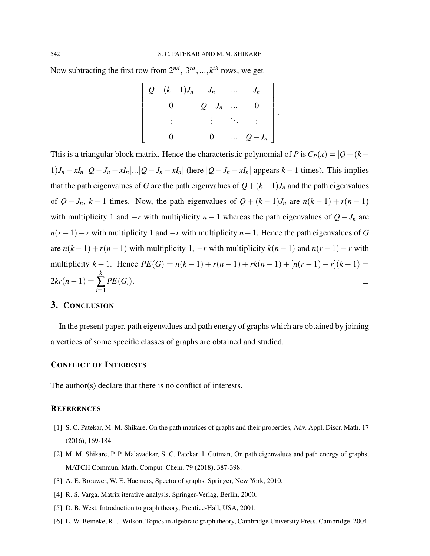Now subtracting the first row from  $2^{nd}$ ,  $3^{rd}$ , ...,  $k^{th}$  rows, we get

$$
\begin{bmatrix}\nQ + (k-1)J_n & J_n & \dots & J_n \\
0 & Q - J_n & \dots & 0 \\
\vdots & \vdots & \ddots & \vdots \\
0 & 0 & \dots & Q - J_n\n\end{bmatrix}
$$

.

This is a triangular block matrix. Hence the characteristic polynomial of *P* is  $C_P(x) = |Q + (k 1|J_n - xI_n||Q - J_n - xI_n|...|Q - J_n - xI_n|$  (here  $|Q - J_n - xI_n|$  appears  $k-1$  times). This implies that the path eigenvalues of *G* are the path eigenvalues of  $Q + (k-1)J_n$  and the path eigenvalues of  $Q - J_n$ ,  $k - 1$  times. Now, the path eigenvalues of  $Q + (k - 1)J_n$  are  $n(k - 1) + r(n − 1)$ with multiplicity 1 and  $-r$  with multiplicity *n* − 1 whereas the path eigenvalues of  $Q - J_n$  are *n*(*r*−1)−*r* with multiplicity 1 and −*r* with multiplicity *n*−1. Hence the path eigenvalues of *G* are  $n(k-1) + r(n-1)$  with multiplicity 1,  $-r$  with multiplicity  $k(n-1)$  and  $n(r-1) - r$  with multiplicity  $k - 1$ . Hence  $PE(G) = n(k - 1) + r(n - 1) + rk(n - 1) + [n(r - 1) - r](k - 1) =$  $2kr(n-1) =$ *k* ∑ *i*=1  $PE(G_i)$ .

# 3. CONCLUSION

In the present paper, path eigenvalues and path energy of graphs which are obtained by joining a vertices of some specific classes of graphs are obtained and studied.

#### CONFLICT OF INTERESTS

The author(s) declare that there is no conflict of interests.

#### **REFERENCES**

- [1] S. C. Patekar, M. M. Shikare, On the path matrices of graphs and their properties, Adv. Appl. Discr. Math. 17 (2016), 169-184.
- [2] M. M. Shikare, P. P. Malavadkar, S. C. Patekar, I. Gutman, On path eigenvalues and path energy of graphs, MATCH Commun. Math. Comput. Chem. 79 (2018), 387-398.
- [3] A. E. Brouwer, W. E. Haemers, Spectra of graphs, Springer, New York, 2010.
- [4] R. S. Varga, Matrix iterative analysis, Springer-Verlag, Berlin, 2000.
- [5] D. B. West, Introduction to graph theory, Prentice-Hall, USA, 2001.
- [6] L. W. Beineke, R. J. Wilson, Topics in algebraic graph theory, Cambridge University Press, Cambridge, 2004.